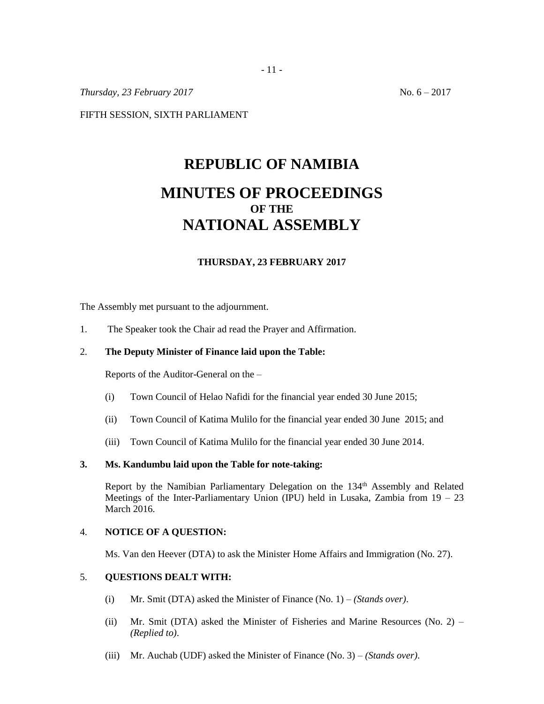*Thursday, 23 February 2017* No. 6 – 2017

FIFTH SESSION, SIXTH PARLIAMENT

# **REPUBLIC OF NAMIBIA MINUTES OF PROCEEDINGS OF THE NATIONAL ASSEMBLY**

# **THURSDAY, 23 FEBRUARY 2017**

The Assembly met pursuant to the adjournment.

1. The Speaker took the Chair ad read the Prayer and Affirmation.

## 2. **The Deputy Minister of Finance laid upon the Table:**

Reports of the Auditor-General on the –

- (i) Town Council of Helao Nafidi for the financial year ended 30 June 2015;
- (ii) Town Council of Katima Mulilo for the financial year ended 30 June 2015; and
- (iii) Town Council of Katima Mulilo for the financial year ended 30 June 2014.

### **3. Ms. Kandumbu laid upon the Table for note-taking:**

Report by the Namibian Parliamentary Delegation on the 134<sup>th</sup> Assembly and Related Meetings of the Inter-Parliamentary Union (IPU) held in Lusaka, Zambia from 19 – 23 March 2016.

#### 4. **NOTICE OF A QUESTION:**

Ms. Van den Heever (DTA) to ask the Minister Home Affairs and Immigration (No. 27).

# 5. **QUESTIONS DEALT WITH:**

- (i) Mr. Smit (DTA) asked the Minister of Finance (No. 1) *(Stands over)*.
- (ii) Mr. Smit (DTA) asked the Minister of Fisheries and Marine Resources (No. 2) *(Replied to)*.
- (iii) Mr. Auchab (UDF) asked the Minister of Finance (No. 3) *(Stands over)*.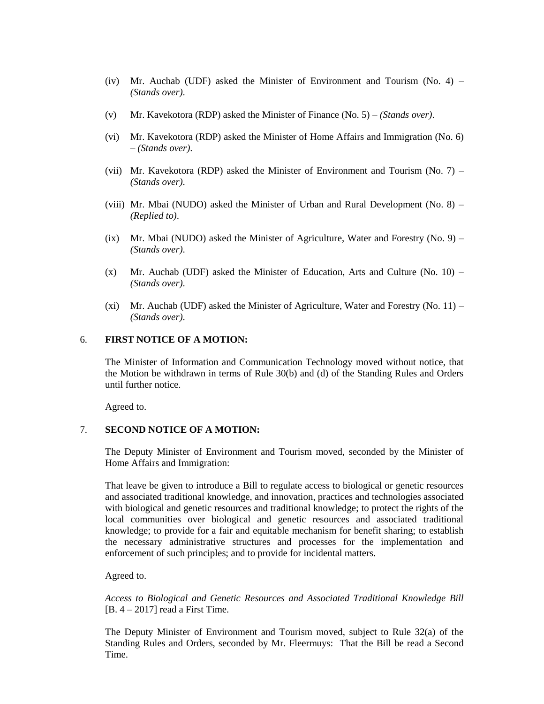- (iv) Mr. Auchab (UDF) asked the Minister of Environment and Tourism (No. 4) *(Stands over)*.
- (v) Mr. Kavekotora (RDP) asked the Minister of Finance (No. 5) *(Stands over)*.
- (vi) Mr. Kavekotora (RDP) asked the Minister of Home Affairs and Immigration (No. 6) – *(Stands over)*.
- (vii) Mr. Kavekotora (RDP) asked the Minister of Environment and Tourism (No.  $7$ ) *(Stands over)*.
- (viii) Mr. Mbai (NUDO) asked the Minister of Urban and Rural Development (No. 8) *(Replied to)*.
- (ix) Mr. Mbai (NUDO) asked the Minister of Agriculture, Water and Forestry (No. 9) *(Stands over)*.
- $(x)$  Mr. Auchab (UDF) asked the Minister of Education, Arts and Culture (No. 10) *(Stands over)*.
- (xi) Mr. Auchab (UDF) asked the Minister of Agriculture, Water and Forestry (No. 11) *(Stands over)*.

## 6. **FIRST NOTICE OF A MOTION:**

The Minister of Information and Communication Technology moved without notice, that the Motion be withdrawn in terms of Rule 30(b) and (d) of the Standing Rules and Orders until further notice.

Agreed to.

#### 7. **SECOND NOTICE OF A MOTION:**

The Deputy Minister of Environment and Tourism moved, seconded by the Minister of Home Affairs and Immigration:

That leave be given to introduce a Bill to regulate access to biological or genetic resources and associated traditional knowledge, and innovation, practices and technologies associated with biological and genetic resources and traditional knowledge; to protect the rights of the local communities over biological and genetic resources and associated traditional knowledge; to provide for a fair and equitable mechanism for benefit sharing; to establish the necessary administrative structures and processes for the implementation and enforcement of such principles; and to provide for incidental matters.

Agreed to.

*Access to Biological and Genetic Resources and Associated Traditional Knowledge Bill*  $[B. 4 - 2017]$  read a First Time.

The Deputy Minister of Environment and Tourism moved, subject to Rule 32(a) of the Standing Rules and Orders, seconded by Mr. Fleermuys: That the Bill be read a Second Time.